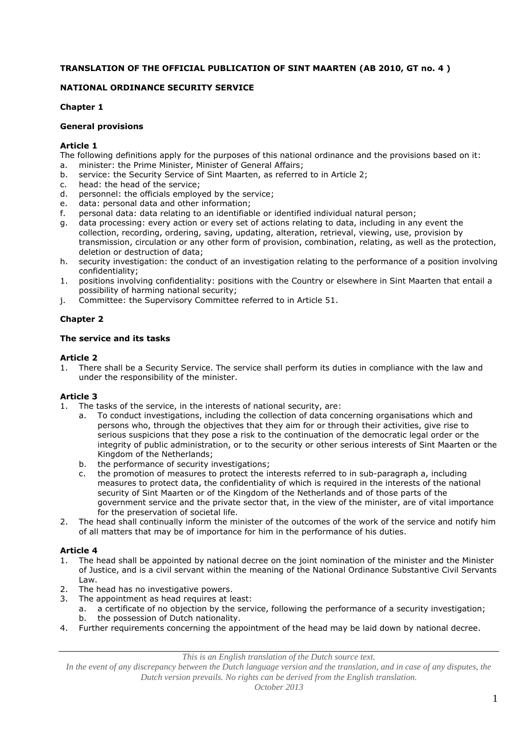# **TRANSLATION OF THE OFFICIAL PUBLICATION OF SINT MAARTEN (AB 2010, GT no. 4 )**

# **NATIONAL ORDINANCE SECURITY SERVICE**

## **Chapter 1**

## **General provisions**

## **Article 1**

The following definitions apply for the purposes of this national ordinance and the provisions based on it: a. minister: the Prime Minister, Minister of General Affairs;

- b. service: the Security Service of Sint Maarten, as referred to in Article 2;
- c. head: the head of the service;
- d. personnel: the officials employed by the service;
- e. data: personal data and other information;
- f. personal data: data relating to an identifiable or identified individual natural person;
- g. data processing: every action or every set of actions relating to data, including in any event the collection, recording, ordering, saving, updating, alteration, retrieval, viewing, use, provision by transmission, circulation or any other form of provision, combination, relating, as well as the protection, deletion or destruction of data;
- h. security investigation: the conduct of an investigation relating to the performance of a position involving confidentiality;
- 1. positions involving confidentiality: positions with the Country or elsewhere in Sint Maarten that entail a possibility of harming national security;
- j. Committee: the Supervisory Committee referred to in Article 51.

# **Chapter 2**

## **The service and its tasks**

## **Article 2**

1. There shall be a Security Service. The service shall perform its duties in compliance with the law and under the responsibility of the minister.

# **Article 3**

- 1. The tasks of the service, in the interests of national security, are:
	- a. To conduct investigations, including the collection of data concerning organisations which and persons who, through the objectives that they aim for or through their activities, give rise to serious suspicions that they pose a risk to the continuation of the democratic legal order or the integrity of public administration, or to the security or other serious interests of Sint Maarten or the Kingdom of the Netherlands;
	- b. the performance of security investigations;
	- c. the promotion of measures to protect the interests referred to in sub-paragraph a, including measures to protect data, the confidentiality of which is required in the interests of the national security of Sint Maarten or of the Kingdom of the Netherlands and of those parts of the government service and the private sector that, in the view of the minister, are of vital importance for the preservation of societal life.
- 2. The head shall continually inform the minister of the outcomes of the work of the service and notify him of all matters that may be of importance for him in the performance of his duties.

# **Article 4**

- 1. The head shall be appointed by national decree on the joint nomination of the minister and the Minister of Justice, and is a civil servant within the meaning of the National Ordinance Substantive Civil Servants Law.
- 2. The head has no investigative powers.
- 3. The appointment as head requires at least:
	- a. a certificate of no objection by the service, following the performance of a security investigation; b. the possession of Dutch nationality.
- 4. Further requirements concerning the appointment of the head may be laid down by national decree.

*This is an English translation of the Dutch source text.*

*In the event of any discrepancy between the Dutch language version and the translation, and in case of any disputes, the Dutch version prevails. No rights can be derived from the English translation.*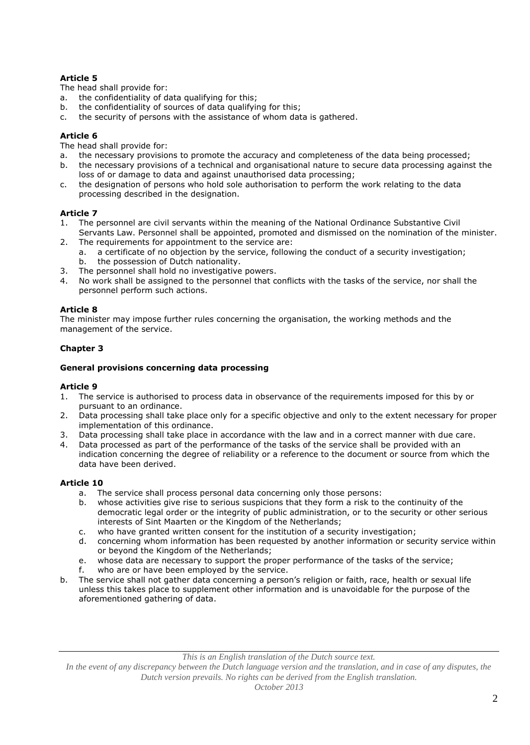The head shall provide for:

- a. the confidentiality of data qualifying for this;
- b. the confidentiality of sources of data qualifying for this;
- c. the security of persons with the assistance of whom data is gathered.

## **Article 6**

The head shall provide for:

- a. the necessary provisions to promote the accuracy and completeness of the data being processed;
- b. the necessary provisions of a technical and organisational nature to secure data processing against the loss of or damage to data and against unauthorised data processing;
- c. the designation of persons who hold sole authorisation to perform the work relating to the data processing described in the designation.

## **Article 7**

- 1. The personnel are civil servants within the meaning of the National Ordinance Substantive Civil Servants Law. Personnel shall be appointed, promoted and dismissed on the nomination of the minister.
- 2. The requirements for appointment to the service are:
	- a. a certificate of no objection by the service, following the conduct of a security investigation; b. the possession of Dutch nationality.
- 3. The personnel shall hold no investigative powers.
- No work shall be assigned to the personnel that conflicts with the tasks of the service, nor shall the personnel perform such actions.

### **Article 8**

The minister may impose further rules concerning the organisation, the working methods and the management of the service.

# **Chapter 3**

### **General provisions concerning data processing**

### **Article 9**

- 1. The service is authorised to process data in observance of the requirements imposed for this by or pursuant to an ordinance.
- 2. Data processing shall take place only for a specific objective and only to the extent necessary for proper implementation of this ordinance.
- 3. Data processing shall take place in accordance with the law and in a correct manner with due care.
- 4. Data processed as part of the performance of the tasks of the service shall be provided with an indication concerning the degree of reliability or a reference to the document or source from which the data have been derived.

## **Article 10**

- a. The service shall process personal data concerning only those persons:
- b. whose activities give rise to serious suspicions that they form a risk to the continuity of the democratic legal order or the integrity of public administration, or to the security or other serious interests of Sint Maarten or the Kingdom of the Netherlands;
- c. who have granted written consent for the institution of a security investigation;
- d. concerning whom information has been requested by another information or security service within or beyond the Kingdom of the Netherlands;
- e. whose data are necessary to support the proper performance of the tasks of the service;
- f. who are or have been employed by the service.
- b. The service shall not gather data concerning a person's religion or faith, race, health or sexual life unless this takes place to supplement other information and is unavoidable for the purpose of the aforementioned gathering of data.

*In the event of any discrepancy between the Dutch language version and the translation, and in case of any disputes, the Dutch version prevails. No rights can be derived from the English translation.*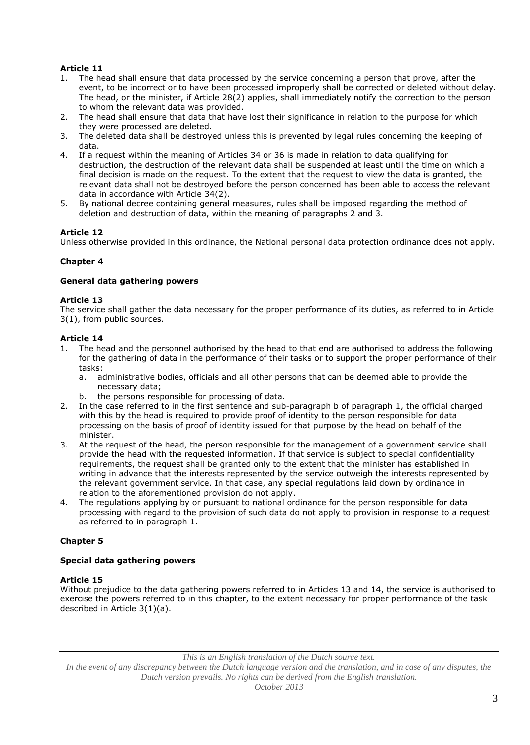- 1. The head shall ensure that data processed by the service concerning a person that prove, after the event, to be incorrect or to have been processed improperly shall be corrected or deleted without delay. The head, or the minister, if Article 28(2) applies, shall immediately notify the correction to the person to whom the relevant data was provided.
- 2. The head shall ensure that data that have lost their significance in relation to the purpose for which they were processed are deleted.
- 3. The deleted data shall be destroyed unless this is prevented by legal rules concerning the keeping of data.
- 4. If a request within the meaning of Articles 34 or 36 is made in relation to data qualifying for destruction, the destruction of the relevant data shall be suspended at least until the time on which a final decision is made on the request. To the extent that the request to view the data is granted, the relevant data shall not be destroyed before the person concerned has been able to access the relevant data in accordance with Article 34(2).
- 5. By national decree containing general measures, rules shall be imposed regarding the method of deletion and destruction of data, within the meaning of paragraphs 2 and 3.

### **Article 12**

Unless otherwise provided in this ordinance, the National personal data protection ordinance does not apply.

### **Chapter 4**

### **General data gathering powers**

#### **Article 13**

The service shall gather the data necessary for the proper performance of its duties, as referred to in Article 3(1), from public sources.

### **Article 14**

- 1. The head and the personnel authorised by the head to that end are authorised to address the following for the gathering of data in the performance of their tasks or to support the proper performance of their tasks:
	- a. administrative bodies, officials and all other persons that can be deemed able to provide the necessary data;
	- b. the persons responsible for processing of data.
- 2. In the case referred to in the first sentence and sub-paragraph b of paragraph 1, the official charged with this by the head is required to provide proof of identity to the person responsible for data processing on the basis of proof of identity issued for that purpose by the head on behalf of the minister.
- 3. At the request of the head, the person responsible for the management of a government service shall provide the head with the requested information. If that service is subject to special confidentiality requirements, the request shall be granted only to the extent that the minister has established in writing in advance that the interests represented by the service outweigh the interests represented by the relevant government service. In that case, any special regulations laid down by ordinance in relation to the aforementioned provision do not apply.
- 4. The regulations applying by or pursuant to national ordinance for the person responsible for data processing with regard to the provision of such data do not apply to provision in response to a request as referred to in paragraph 1.

### **Chapter 5**

### **Special data gathering powers**

### **Article 15**

Without prejudice to the data gathering powers referred to in Articles 13 and 14, the service is authorised to exercise the powers referred to in this chapter, to the extent necessary for proper performance of the task described in Article 3(1)(a).

*This is an English translation of the Dutch source text.*

*In the event of any discrepancy between the Dutch language version and the translation, and in case of any disputes, the Dutch version prevails. No rights can be derived from the English translation.*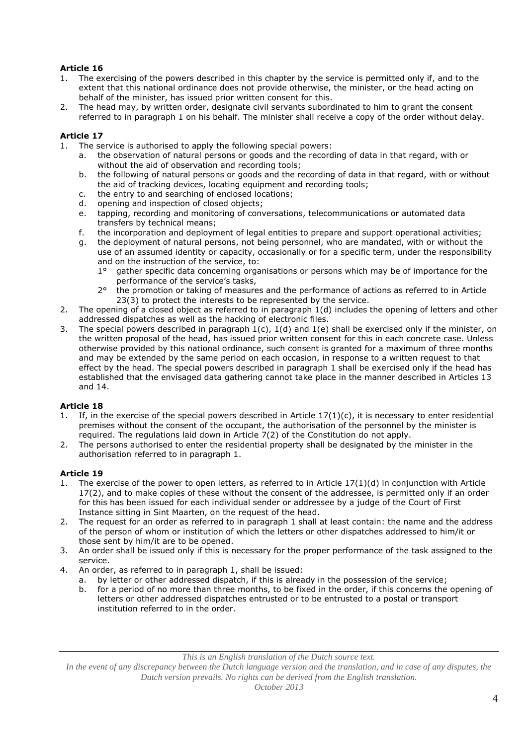- The exercising of the powers described in this chapter by the service is permitted only if, and to the extent that this national ordinance does not provide otherwise, the minister, or the head acting on behalf of the minister, has issued prior written consent for this.
- 2. The head may, by written order, designate civil servants subordinated to him to grant the consent referred to in paragraph 1 on his behalf. The minister shall receive a copy of the order without delay.

### **Article 17**

- 1. The service is authorised to apply the following special powers:
	- a. the observation of natural persons or goods and the recording of data in that regard, with or without the aid of observation and recording tools;
	- b. the following of natural persons or goods and the recording of data in that regard, with or without the aid of tracking devices, locating equipment and recording tools;
	- c. the entry to and searching of enclosed locations;
	- d. opening and inspection of closed objects;
	- e. tapping, recording and monitoring of conversations, telecommunications or automated data transfers by technical means;
	- f. the incorporation and deployment of legal entities to prepare and support operational activities;
	- g. the deployment of natural persons, not being personnel, who are mandated, with or without the use of an assumed identity or capacity, occasionally or for a specific term, under the responsibility and on the instruction of the service, to:
		- 1° gather specific data concerning organisations or persons which may be of importance for the performance of the service's tasks,
		- 2° the promotion or taking of measures and the performance of actions as referred to in Article 23(3) to protect the interests to be represented by the service.
- 2. The opening of a closed object as referred to in paragraph 1(d) includes the opening of letters and other addressed dispatches as well as the hacking of electronic files.
- 3. The special powers described in paragraph 1(c), 1(d) and 1(e) shall be exercised only if the minister, on the written proposal of the head, has issued prior written consent for this in each concrete case. Unless otherwise provided by this national ordinance, such consent is granted for a maximum of three months and may be extended by the same period on each occasion, in response to a written request to that effect by the head. The special powers described in paragraph 1 shall be exercised only if the head has established that the envisaged data gathering cannot take place in the manner described in Articles 13 and 14.

## **Article 18**

- If, in the exercise of the special powers described in Article  $17(1)(c)$ , it is necessary to enter residential premises without the consent of the occupant, the authorisation of the personnel by the minister is required. The regulations laid down in Article 7(2) of the Constitution do not apply.
- 2. The persons authorised to enter the residential property shall be designated by the minister in the authorisation referred to in paragraph 1.

## **Article 19**

- 1. The exercise of the power to open letters, as referred to in Article 17(1)(d) in conjunction with Article 17(2), and to make copies of these without the consent of the addressee, is permitted only if an order for this has been issued for each individual sender or addressee by a judge of the Court of First Instance sitting in Sint Maarten, on the request of the head.
- 2. The request for an order as referred to in paragraph 1 shall at least contain: the name and the address of the person of whom or institution of which the letters or other dispatches addressed to him/it or those sent by him/it are to be opened.
- 3. An order shall be issued only if this is necessary for the proper performance of the task assigned to the service.
- 4. An order, as referred to in paragraph 1, shall be issued:
	- a. by letter or other addressed dispatch, if this is already in the possession of the service;
	- b. for a period of no more than three months, to be fixed in the order, if this concerns the opening of letters or other addressed dispatches entrusted or to be entrusted to a postal or transport institution referred to in the order.

*In the event of any discrepancy between the Dutch language version and the translation, and in case of any disputes, the Dutch version prevails. No rights can be derived from the English translation.*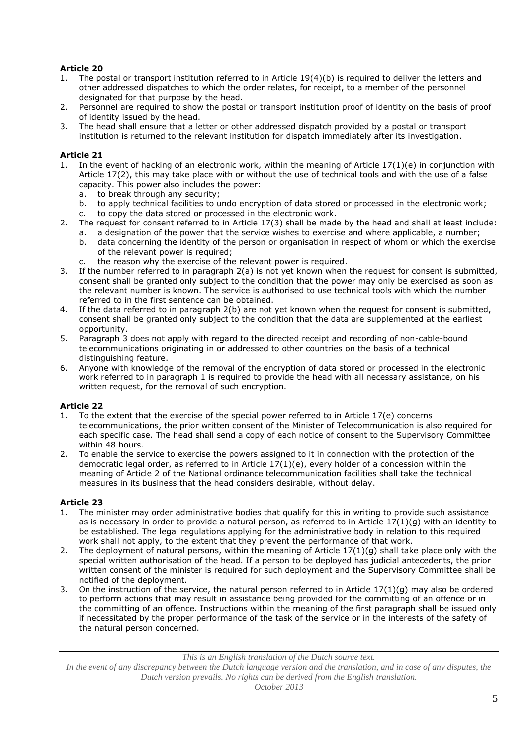- 1. The postal or transport institution referred to in Article 19(4)(b) is required to deliver the letters and other addressed dispatches to which the order relates, for receipt, to a member of the personnel designated for that purpose by the head.
- 2. Personnel are required to show the postal or transport institution proof of identity on the basis of proof of identity issued by the head.
- 3. The head shall ensure that a letter or other addressed dispatch provided by a postal or transport institution is returned to the relevant institution for dispatch immediately after its investigation.

## **Article 21**

- 1. In the event of hacking of an electronic work, within the meaning of Article 17(1)(e) in conjunction with Article 17(2), this may take place with or without the use of technical tools and with the use of a false capacity. This power also includes the power:
	- a. to break through any security;
	- b. to apply technical facilities to undo encryption of data stored or processed in the electronic work;
	- c. to copy the data stored or processed in the electronic work.
- 2. The request for consent referred to in Article 17(3) shall be made by the head and shall at least include:
	- a. a designation of the power that the service wishes to exercise and where applicable, a number;
	- b. data concerning the identity of the person or organisation in respect of whom or which the exercise of the relevant power is required;
	- c. the reason why the exercise of the relevant power is required.
- 3. If the number referred to in paragraph 2(a) is not yet known when the request for consent is submitted, consent shall be granted only subject to the condition that the power may only be exercised as soon as the relevant number is known. The service is authorised to use technical tools with which the number referred to in the first sentence can be obtained.
- 4. If the data referred to in paragraph 2(b) are not yet known when the request for consent is submitted, consent shall be granted only subject to the condition that the data are supplemented at the earliest opportunity.
- 5. Paragraph 3 does not apply with regard to the directed receipt and recording of non-cable-bound telecommunications originating in or addressed to other countries on the basis of a technical distinguishing feature.
- 6. Anyone with knowledge of the removal of the encryption of data stored or processed in the electronic work referred to in paragraph 1 is required to provide the head with all necessary assistance, on his written request, for the removal of such encryption.

## **Article 22**

- 1. To the extent that the exercise of the special power referred to in Article 17(e) concerns telecommunications, the prior written consent of the Minister of Telecommunication is also required for each specific case. The head shall send a copy of each notice of consent to the Supervisory Committee within 48 hours.
- 2. To enable the service to exercise the powers assigned to it in connection with the protection of the democratic legal order, as referred to in Article 17(1)(e), every holder of a concession within the meaning of Article 2 of the National ordinance telecommunication facilities shall take the technical measures in its business that the head considers desirable, without delay.

## **Article 23**

- 1. The minister may order administrative bodies that qualify for this in writing to provide such assistance as is necessary in order to provide a natural person, as referred to in Article 17(1)(g) with an identity to be established. The legal regulations applying for the administrative body in relation to this required work shall not apply, to the extent that they prevent the performance of that work.
- 2. The deployment of natural persons, within the meaning of Article  $17(1)(g)$  shall take place only with the special written authorisation of the head. If a person to be deployed has judicial antecedents, the prior written consent of the minister is required for such deployment and the Supervisory Committee shall be notified of the deployment.
- 3. On the instruction of the service, the natural person referred to in Article  $17(1)(g)$  may also be ordered to perform actions that may result in assistance being provided for the committing of an offence or in the committing of an offence. Instructions within the meaning of the first paragraph shall be issued only if necessitated by the proper performance of the task of the service or in the interests of the safety of the natural person concerned.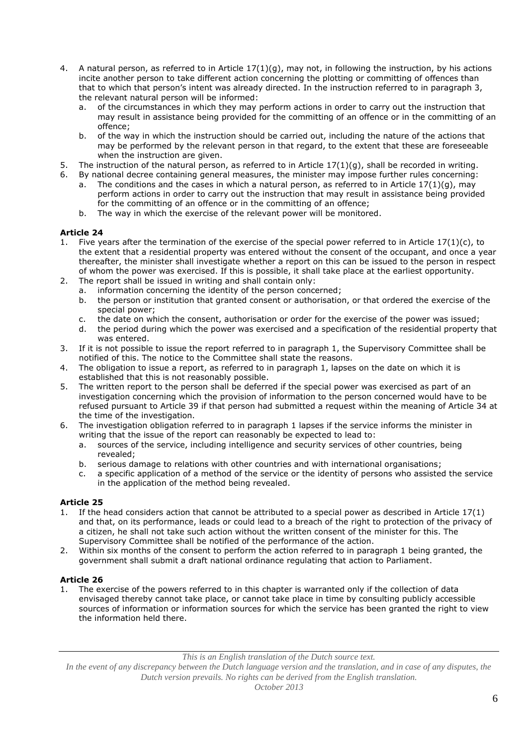- 4. A natural person, as referred to in Article  $17(1)(q)$ , may not, in following the instruction, by his actions incite another person to take different action concerning the plotting or committing of offences than that to which that person's intent was already directed. In the instruction referred to in paragraph 3, the relevant natural person will be informed:
	- a. of the circumstances in which they may perform actions in order to carry out the instruction that may result in assistance being provided for the committing of an offence or in the committing of an offence;
	- b. of the way in which the instruction should be carried out, including the nature of the actions that may be performed by the relevant person in that regard, to the extent that these are foreseeable when the instruction are given.
- 5. The instruction of the natural person, as referred to in Article  $17(1)(g)$ , shall be recorded in writing.
- 6. By national decree containing general measures, the minister may impose further rules concerning:
	- a. The conditions and the cases in which a natural person, as referred to in Article  $17(1)(q)$ , may perform actions in order to carry out the instruction that may result in assistance being provided for the committing of an offence or in the committing of an offence;
	- b. The way in which the exercise of the relevant power will be monitored.

- 1. Five years after the termination of the exercise of the special power referred to in Article  $17(1)(c)$ , to the extent that a residential property was entered without the consent of the occupant, and once a year thereafter, the minister shall investigate whether a report on this can be issued to the person in respect of whom the power was exercised. If this is possible, it shall take place at the earliest opportunity.
- 2. The report shall be issued in writing and shall contain only:
	- a. information concerning the identity of the person concerned;
		- b. the person or institution that granted consent or authorisation, or that ordered the exercise of the special power;
		- c. the date on which the consent, authorisation or order for the exercise of the power was issued;
		- d. the period during which the power was exercised and a specification of the residential property that was entered.
- 3. If it is not possible to issue the report referred to in paragraph 1, the Supervisory Committee shall be notified of this. The notice to the Committee shall state the reasons.
- 4. The obligation to issue a report, as referred to in paragraph 1, lapses on the date on which it is established that this is not reasonably possible.
- 5. The written report to the person shall be deferred if the special power was exercised as part of an investigation concerning which the provision of information to the person concerned would have to be refused pursuant to Article 39 if that person had submitted a request within the meaning of Article 34 at the time of the investigation.
- 6. The investigation obligation referred to in paragraph 1 lapses if the service informs the minister in writing that the issue of the report can reasonably be expected to lead to:
	- a. sources of the service, including intelligence and security services of other countries, being revealed;
	- b. serious damage to relations with other countries and with international organisations;
	- c. a specific application of a method of the service or the identity of persons who assisted the service in the application of the method being revealed.

## **Article 25**

- 1. If the head considers action that cannot be attributed to a special power as described in Article 17(1) and that, on its performance, leads or could lead to a breach of the right to protection of the privacy of a citizen, he shall not take such action without the written consent of the minister for this. The Supervisory Committee shall be notified of the performance of the action.
- 2. Within six months of the consent to perform the action referred to in paragraph 1 being granted, the government shall submit a draft national ordinance regulating that action to Parliament.

### **Article 26**

1. The exercise of the powers referred to in this chapter is warranted only if the collection of data envisaged thereby cannot take place, or cannot take place in time by consulting publicly accessible sources of information or information sources for which the service has been granted the right to view the information held there.

*This is an English translation of the Dutch source text.*

*In the event of any discrepancy between the Dutch language version and the translation, and in case of any disputes, the Dutch version prevails. No rights can be derived from the English translation.*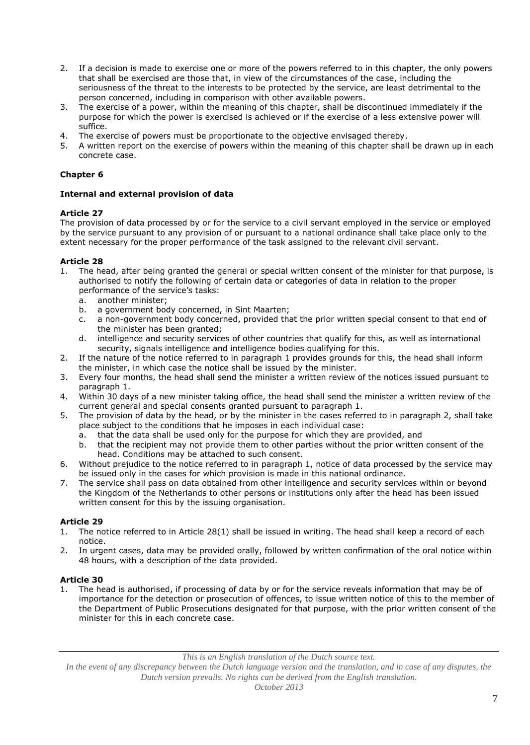- 2. If a decision is made to exercise one or more of the powers referred to in this chapter, the only powers that shall be exercised are those that, in view of the circumstances of the case, including the seriousness of the threat to the interests to be protected by the service, are least detrimental to the person concerned, including in comparison with other available powers.
- 3. The exercise of a power, within the meaning of this chapter, shall be discontinued immediately if the purpose for which the power is exercised is achieved or if the exercise of a less extensive power will suffice.
- 4. The exercise of powers must be proportionate to the objective envisaged thereby.
- 5. A written report on the exercise of powers within the meaning of this chapter shall be drawn up in each concrete case.

## **Chapter 6**

### **Internal and external provision of data**

### **Article 27**

The provision of data processed by or for the service to a civil servant employed in the service or employed by the service pursuant to any provision of or pursuant to a national ordinance shall take place only to the extent necessary for the proper performance of the task assigned to the relevant civil servant.

## **Article 28**

- 1. The head, after being granted the general or special written consent of the minister for that purpose, is authorised to notify the following of certain data or categories of data in relation to the proper performance of the service's tasks:
	- a. another minister;
	- b. a government body concerned, in Sint Maarten;
	- c. a non-government body concerned, provided that the prior written special consent to that end of the minister has been granted;
	- d. intelligence and security services of other countries that qualify for this, as well as international security, signals intelligence and intelligence bodies qualifying for this.
- 2. If the nature of the notice referred to in paragraph 1 provides grounds for this, the head shall inform the minister, in which case the notice shall be issued by the minister.
- 3. Every four months, the head shall send the minister a written review of the notices issued pursuant to paragraph 1.
- 4. Within 30 days of a new minister taking office, the head shall send the minister a written review of the current general and special consents granted pursuant to paragraph 1.
- 5. The provision of data by the head, or by the minister in the cases referred to in paragraph 2, shall take place subject to the conditions that he imposes in each individual case:
	- a. that the data shall be used only for the purpose for which they are provided, and
	- b. that the recipient may not provide them to other parties without the prior written consent of the head. Conditions may be attached to such consent.
- 6. Without prejudice to the notice referred to in paragraph 1, notice of data processed by the service may be issued only in the cases for which provision is made in this national ordinance.
- 7. The service shall pass on data obtained from other intelligence and security services within or beyond the Kingdom of the Netherlands to other persons or institutions only after the head has been issued written consent for this by the issuing organisation.

## **Article 29**

- 1. The notice referred to in Article 28(1) shall be issued in writing. The head shall keep a record of each notice.
- 2. In urgent cases, data may be provided orally, followed by written confirmation of the oral notice within 48 hours, with a description of the data provided.

## **Article 30**

1. The head is authorised, if processing of data by or for the service reveals information that may be of importance for the detection or prosecution of offences, to issue written notice of this to the member of the Department of Public Prosecutions designated for that purpose, with the prior written consent of the minister for this in each concrete case.

*This is an English translation of the Dutch source text.*

*In the event of any discrepancy between the Dutch language version and the translation, and in case of any disputes, the Dutch version prevails. No rights can be derived from the English translation.*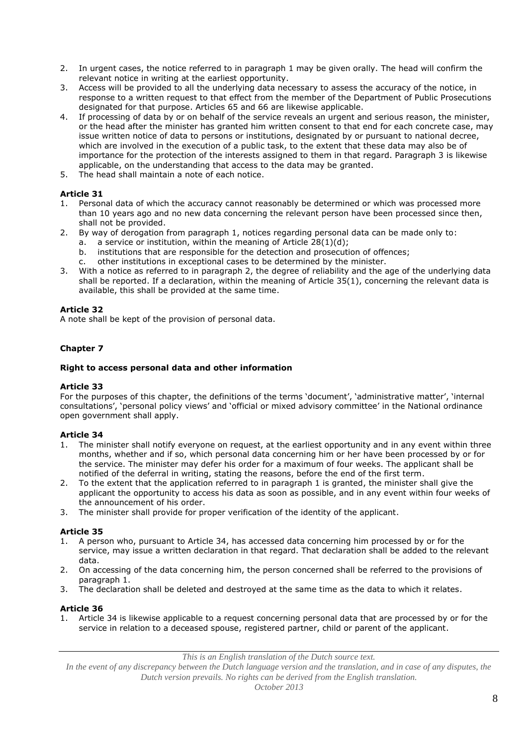- 2. In urgent cases, the notice referred to in paragraph 1 may be given orally. The head will confirm the relevant notice in writing at the earliest opportunity.
- 3. Access will be provided to all the underlying data necessary to assess the accuracy of the notice, in response to a written request to that effect from the member of the Department of Public Prosecutions designated for that purpose. Articles 65 and 66 are likewise applicable.
- 4. If processing of data by or on behalf of the service reveals an urgent and serious reason, the minister, or the head after the minister has granted him written consent to that end for each concrete case, may issue written notice of data to persons or institutions, designated by or pursuant to national decree, which are involved in the execution of a public task, to the extent that these data may also be of importance for the protection of the interests assigned to them in that regard. Paragraph 3 is likewise applicable, on the understanding that access to the data may be granted.
- 5. The head shall maintain a note of each notice.

- 1. Personal data of which the accuracy cannot reasonably be determined or which was processed more than 10 years ago and no new data concerning the relevant person have been processed since then, shall not be provided.
- 2. By way of derogation from paragraph 1, notices regarding personal data can be made only to:
	- a. a service or institution, within the meaning of Article  $28(1)(d)$ ;
		- b. institutions that are responsible for the detection and prosecution of offences;
		- c. other institutions in exceptional cases to be determined by the minister.
- 3. With a notice as referred to in paragraph 2, the degree of reliability and the age of the underlying data shall be reported. If a declaration, within the meaning of Article 35(1), concerning the relevant data is available, this shall be provided at the same time.

## **Article 32**

A note shall be kept of the provision of personal data.

# **Chapter 7**

### **Right to access personal data and other information**

### **Article 33**

For the purposes of this chapter, the definitions of the terms 'document', 'administrative matter', 'internal consultations', 'personal policy views' and 'official or mixed advisory committee' in the National ordinance open government shall apply.

### **Article 34**

- 1. The minister shall notify everyone on request, at the earliest opportunity and in any event within three months, whether and if so, which personal data concerning him or her have been processed by or for the service. The minister may defer his order for a maximum of four weeks. The applicant shall be notified of the deferral in writing, stating the reasons, before the end of the first term.
- 2. To the extent that the application referred to in paragraph 1 is granted, the minister shall give the applicant the opportunity to access his data as soon as possible, and in any event within four weeks of the announcement of his order.
- 3. The minister shall provide for proper verification of the identity of the applicant.

## **Article 35**

- 1. A person who, pursuant to Article 34, has accessed data concerning him processed by or for the service, may issue a written declaration in that regard. That declaration shall be added to the relevant data.
- 2. On accessing of the data concerning him, the person concerned shall be referred to the provisions of paragraph 1.
- 3. The declaration shall be deleted and destroyed at the same time as the data to which it relates.

### **Article 36**

1. Article 34 is likewise applicable to a request concerning personal data that are processed by or for the service in relation to a deceased spouse, registered partner, child or parent of the applicant.

*This is an English translation of the Dutch source text.*

*In the event of any discrepancy between the Dutch language version and the translation, and in case of any disputes, the Dutch version prevails. No rights can be derived from the English translation.*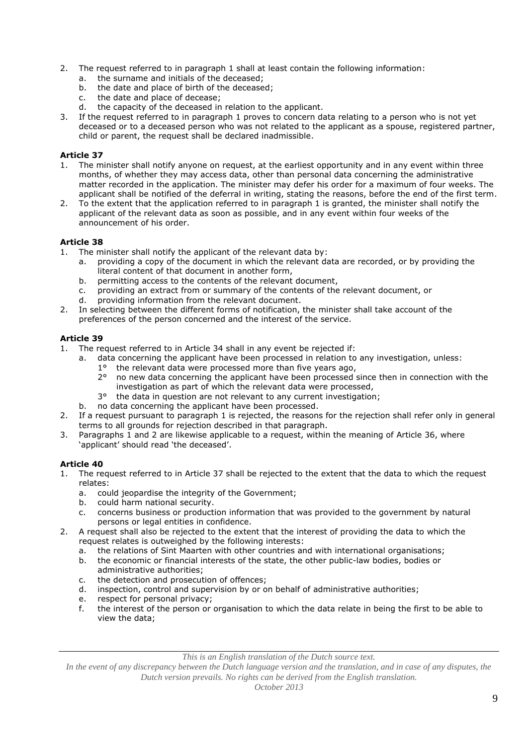- 2. The request referred to in paragraph 1 shall at least contain the following information:
	- a. the surname and initials of the deceased;
	- b. the date and place of birth of the deceased;
	- c. the date and place of decease;
	- d. the capacity of the deceased in relation to the applicant.
- If the request referred to in paragraph 1 proves to concern data relating to a person who is not yet deceased or to a deceased person who was not related to the applicant as a spouse, registered partner, child or parent, the request shall be declared inadmissible.

- 1. The minister shall notify anyone on request, at the earliest opportunity and in any event within three months, of whether they may access data, other than personal data concerning the administrative matter recorded in the application. The minister may defer his order for a maximum of four weeks. The applicant shall be notified of the deferral in writing, stating the reasons, before the end of the first term.
- 2. To the extent that the application referred to in paragraph 1 is granted, the minister shall notify the applicant of the relevant data as soon as possible, and in any event within four weeks of the announcement of his order.

### **Article 38**

- 1. The minister shall notify the applicant of the relevant data by:
	- a. providing a copy of the document in which the relevant data are recorded, or by providing the literal content of that document in another form,
	- b. permitting access to the contents of the relevant document,
	- c. providing an extract from or summary of the contents of the relevant document, or
	- d. providing information from the relevant document.
- 2. In selecting between the different forms of notification, the minister shall take account of the preferences of the person concerned and the interest of the service.

## **Article 39**

- 1. The request referred to in Article 34 shall in any event be rejected if:
	- a. data concerning the applicant have been processed in relation to any investigation, unless:
		- $1^\circ$  the relevant data were processed more than five years ago,  $2^\circ$  no new data concerning the applicant have been processed 2° no new data concerning the applicant have been processed since then in connection with the investigation as part of which the relevant data were processed,
		- 3° the data in question are not relevant to any current investigation;
	- b. no data concerning the applicant have been processed.
- 2. If a request pursuant to paragraph 1 is rejected, the reasons for the rejection shall refer only in general terms to all grounds for rejection described in that paragraph.
- 3. Paragraphs 1 and 2 are likewise applicable to a request, within the meaning of Article 36, where 'applicant' should read 'the deceased'.

## **Article 40**

- 1. The request referred to in Article 37 shall be rejected to the extent that the data to which the request relates:
	- a. could jeopardise the integrity of the Government;
	- b. could harm national security.
	- c. concerns business or production information that was provided to the government by natural persons or legal entities in confidence.
- 2. A request shall also be rejected to the extent that the interest of providing the data to which the request relates is outweighed by the following interests:
	- a. the relations of Sint Maarten with other countries and with international organisations;
	- b. the economic or financial interests of the state, the other public-law bodies, bodies or administrative authorities;
	- c. the detection and prosecution of offences;
	- d. inspection, control and supervision by or on behalf of administrative authorities;
	- e. respect for personal privacy;
	- f. the interest of the person or organisation to which the data relate in being the first to be able to view the data;

*This is an English translation of the Dutch source text.*

*In the event of any discrepancy between the Dutch language version and the translation, and in case of any disputes, the Dutch version prevails. No rights can be derived from the English translation.*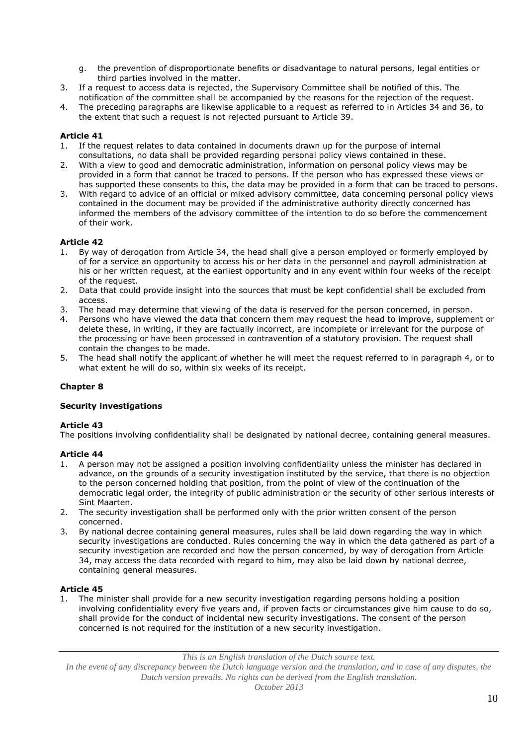- g. the prevention of disproportionate benefits or disadvantage to natural persons, legal entities or third parties involved in the matter.
- 3. If a request to access data is rejected, the Supervisory Committee shall be notified of this. The notification of the committee shall be accompanied by the reasons for the rejection of the request.
- 4. The preceding paragraphs are likewise applicable to a request as referred to in Articles 34 and 36, to the extent that such a request is not rejected pursuant to Article 39.

- 1. If the request relates to data contained in documents drawn up for the purpose of internal consultations, no data shall be provided regarding personal policy views contained in these.
- 2. With a view to good and democratic administration, information on personal policy views may be provided in a form that cannot be traced to persons. If the person who has expressed these views or has supported these consents to this, the data may be provided in a form that can be traced to persons.
- 3. With regard to advice of an official or mixed advisory committee, data concerning personal policy views contained in the document may be provided if the administrative authority directly concerned has informed the members of the advisory committee of the intention to do so before the commencement of their work.

### **Article 42**

- 1. By way of derogation from Article 34, the head shall give a person employed or formerly employed by of for a service an opportunity to access his or her data in the personnel and payroll administration at his or her written request, at the earliest opportunity and in any event within four weeks of the receipt of the request.
- 2. Data that could provide insight into the sources that must be kept confidential shall be excluded from access.
- 3. The head may determine that viewing of the data is reserved for the person concerned, in person.
- 4. Persons who have viewed the data that concern them may request the head to improve, supplement or delete these, in writing, if they are factually incorrect, are incomplete or irrelevant for the purpose of the processing or have been processed in contravention of a statutory provision. The request shall contain the changes to be made.
- 5. The head shall notify the applicant of whether he will meet the request referred to in paragraph 4, or to what extent he will do so, within six weeks of its receipt.

### **Chapter 8**

### **Security investigations**

### **Article 43**

The positions involving confidentiality shall be designated by national decree, containing general measures.

### **Article 44**

- 1. A person may not be assigned a position involving confidentiality unless the minister has declared in advance, on the grounds of a security investigation instituted by the service, that there is no objection to the person concerned holding that position, from the point of view of the continuation of the democratic legal order, the integrity of public administration or the security of other serious interests of Sint Maarten.
- 2. The security investigation shall be performed only with the prior written consent of the person concerned.
- 3. By national decree containing general measures, rules shall be laid down regarding the way in which security investigations are conducted. Rules concerning the way in which the data gathered as part of a security investigation are recorded and how the person concerned, by way of derogation from Article 34, may access the data recorded with regard to him, may also be laid down by national decree, containing general measures.

### **Article 45**

1. The minister shall provide for a new security investigation regarding persons holding a position involving confidentiality every five years and, if proven facts or circumstances give him cause to do so, shall provide for the conduct of incidental new security investigations. The consent of the person concerned is not required for the institution of a new security investigation.

*This is an English translation of the Dutch source text.*

*In the event of any discrepancy between the Dutch language version and the translation, and in case of any disputes, the Dutch version prevails. No rights can be derived from the English translation.*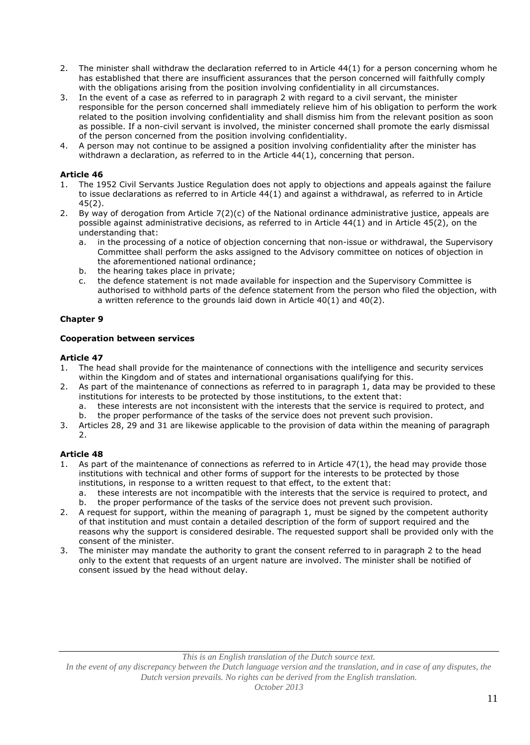- 2. The minister shall withdraw the declaration referred to in Article 44(1) for a person concerning whom he has established that there are insufficient assurances that the person concerned will faithfully comply with the obligations arising from the position involving confidentiality in all circumstances.
- 3. In the event of a case as referred to in paragraph 2 with regard to a civil servant, the minister responsible for the person concerned shall immediately relieve him of his obligation to perform the work related to the position involving confidentiality and shall dismiss him from the relevant position as soon as possible. If a non-civil servant is involved, the minister concerned shall promote the early dismissal of the person concerned from the position involving confidentiality.
- 4. A person may not continue to be assigned a position involving confidentiality after the minister has withdrawn a declaration, as referred to in the Article 44(1), concerning that person.

- The 1952 Civil Servants Justice Regulation does not apply to objections and appeals against the failure to issue declarations as referred to in Article 44(1) and against a withdrawal, as referred to in Article 45(2).
- 2. By way of derogation from Article 7(2)(c) of the National ordinance administrative justice, appeals are possible against administrative decisions, as referred to in Article 44(1) and in Article 45(2), on the understanding that:
	- a. in the processing of a notice of objection concerning that non-issue or withdrawal, the Supervisory Committee shall perform the asks assigned to the Advisory committee on notices of objection in the aforementioned national ordinance;
	- b. the hearing takes place in private;
	- c. the defence statement is not made available for inspection and the Supervisory Committee is authorised to withhold parts of the defence statement from the person who filed the objection, with a written reference to the grounds laid down in Article 40(1) and 40(2).

## **Chapter 9**

### **Cooperation between services**

### **Article 47**

- 1. The head shall provide for the maintenance of connections with the intelligence and security services within the Kingdom and of states and international organisations qualifying for this.
- 2. As part of the maintenance of connections as referred to in paragraph 1, data may be provided to these institutions for interests to be protected by those institutions, to the extent that:
	- a. these interests are not inconsistent with the interests that the service is required to protect, and
	- b. the proper performance of the tasks of the service does not prevent such provision.
- 3. Articles 28, 29 and 31 are likewise applicable to the provision of data within the meaning of paragraph 2.

## **Article 48**

- As part of the maintenance of connections as referred to in Article  $47(1)$ , the head may provide those institutions with technical and other forms of support for the interests to be protected by those institutions, in response to a written request to that effect, to the extent that:
	- a. these interests are not incompatible with the interests that the service is required to protect, and b. the proper performance of the tasks of the service does not prevent such provision.
- 2. A request for support, within the meaning of paragraph 1, must be signed by the competent authority of that institution and must contain a detailed description of the form of support required and the reasons why the support is considered desirable. The requested support shall be provided only with the consent of the minister.
- 3. The minister may mandate the authority to grant the consent referred to in paragraph 2 to the head only to the extent that requests of an urgent nature are involved. The minister shall be notified of consent issued by the head without delay.

#### *This is an English translation of the Dutch source text.*

*In the event of any discrepancy between the Dutch language version and the translation, and in case of any disputes, the Dutch version prevails. No rights can be derived from the English translation.*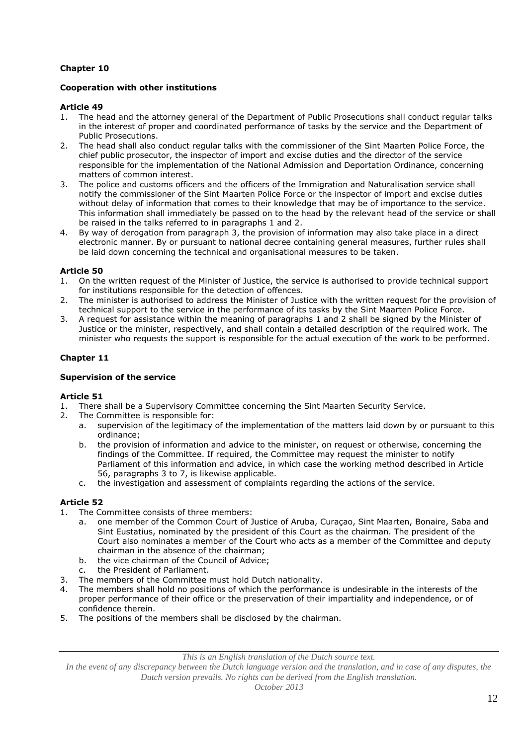# **Chapter 10**

## **Cooperation with other institutions**

### **Article 49**

- 1. The head and the attorney general of the Department of Public Prosecutions shall conduct regular talks in the interest of proper and coordinated performance of tasks by the service and the Department of Public Prosecutions.
- 2. The head shall also conduct regular talks with the commissioner of the Sint Maarten Police Force, the chief public prosecutor, the inspector of import and excise duties and the director of the service responsible for the implementation of the National Admission and Deportation Ordinance, concerning matters of common interest.
- 3. The police and customs officers and the officers of the Immigration and Naturalisation service shall notify the commissioner of the Sint Maarten Police Force or the inspector of import and excise duties without delay of information that comes to their knowledge that may be of importance to the service. This information shall immediately be passed on to the head by the relevant head of the service or shall be raised in the talks referred to in paragraphs 1 and 2.
- 4. By way of derogation from paragraph 3, the provision of information may also take place in a direct electronic manner. By or pursuant to national decree containing general measures, further rules shall be laid down concerning the technical and organisational measures to be taken.

## **Article 50**

- 1. On the written request of the Minister of Justice, the service is authorised to provide technical support for institutions responsible for the detection of offences.
- 2. The minister is authorised to address the Minister of Justice with the written request for the provision of technical support to the service in the performance of its tasks by the Sint Maarten Police Force.
- 3. A request for assistance within the meaning of paragraphs 1 and 2 shall be signed by the Minister of Justice or the minister, respectively, and shall contain a detailed description of the required work. The minister who requests the support is responsible for the actual execution of the work to be performed.

### **Chapter 11**

### **Supervision of the service**

### **Article 51**

- 1. There shall be a Supervisory Committee concerning the Sint Maarten Security Service.
- 2. The Committee is responsible for:
	- a. supervision of the legitimacy of the implementation of the matters laid down by or pursuant to this ordinance;
	- b. the provision of information and advice to the minister, on request or otherwise, concerning the findings of the Committee. If required, the Committee may request the minister to notify Parliament of this information and advice, in which case the working method described in Article 56, paragraphs 3 to 7, is likewise applicable.
	- c. the investigation and assessment of complaints regarding the actions of the service.

## **Article 52**

- The Committee consists of three members:
	- a. one member of the Common Court of Justice of Aruba, Curaçao, Sint Maarten, Bonaire, Saba and Sint Eustatius, nominated by the president of this Court as the chairman. The president of the Court also nominates a member of the Court who acts as a member of the Committee and deputy chairman in the absence of the chairman;
	- b. the vice chairman of the Council of Advice;
	- c. the President of Parliament.
- 3. The members of the Committee must hold Dutch nationality.
- 4. The members shall hold no positions of which the performance is undesirable in the interests of the proper performance of their office or the preservation of their impartiality and independence, or of confidence therein.
- 5. The positions of the members shall be disclosed by the chairman.

*This is an English translation of the Dutch source text.*

*In the event of any discrepancy between the Dutch language version and the translation, and in case of any disputes, the Dutch version prevails. No rights can be derived from the English translation.*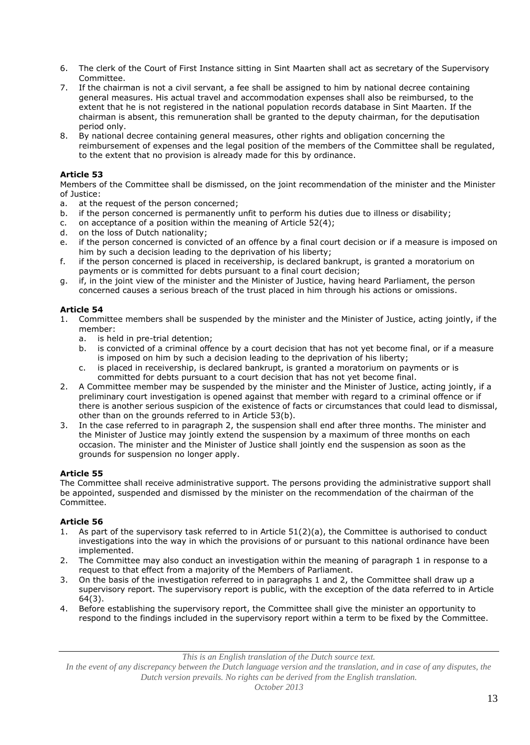- 6. The clerk of the Court of First Instance sitting in Sint Maarten shall act as secretary of the Supervisory Committee.
- 7. If the chairman is not a civil servant, a fee shall be assigned to him by national decree containing general measures. His actual travel and accommodation expenses shall also be reimbursed, to the extent that he is not registered in the national population records database in Sint Maarten. If the chairman is absent, this remuneration shall be granted to the deputy chairman, for the deputisation period only.
- 8. By national decree containing general measures, other rights and obligation concerning the reimbursement of expenses and the legal position of the members of the Committee shall be regulated, to the extent that no provision is already made for this by ordinance.

Members of the Committee shall be dismissed, on the joint recommendation of the minister and the Minister of Justice:

- a. at the request of the person concerned;
- b. if the person concerned is permanently unfit to perform his duties due to illness or disability;
- c. on acceptance of a position within the meaning of Article  $52(4)$ ;
- d. on the loss of Dutch nationality;
- e. if the person concerned is convicted of an offence by a final court decision or if a measure is imposed on him by such a decision leading to the deprivation of his liberty;
- f. if the person concerned is placed in receivership, is declared bankrupt, is granted a moratorium on payments or is committed for debts pursuant to a final court decision;
- g. if, in the joint view of the minister and the Minister of Justice, having heard Parliament, the person concerned causes a serious breach of the trust placed in him through his actions or omissions.

## **Article 54**

- 1. Committee members shall be suspended by the minister and the Minister of Justice, acting jointly, if the member:
	- a. is held in pre-trial detention;
	- b. is convicted of a criminal offence by a court decision that has not yet become final, or if a measure is imposed on him by such a decision leading to the deprivation of his liberty;
	- c. is placed in receivership, is declared bankrupt, is granted a moratorium on payments or is committed for debts pursuant to a court decision that has not yet become final.
- 2. A Committee member may be suspended by the minister and the Minister of Justice, acting jointly, if a preliminary court investigation is opened against that member with regard to a criminal offence or if there is another serious suspicion of the existence of facts or circumstances that could lead to dismissal, other than on the grounds referred to in Article 53(b).
- 3. In the case referred to in paragraph 2, the suspension shall end after three months. The minister and the Minister of Justice may jointly extend the suspension by a maximum of three months on each occasion. The minister and the Minister of Justice shall jointly end the suspension as soon as the grounds for suspension no longer apply.

## **Article 55**

The Committee shall receive administrative support. The persons providing the administrative support shall be appointed, suspended and dismissed by the minister on the recommendation of the chairman of the Committee.

## **Article 56**

- As part of the supervisory task referred to in Article 51(2)(a), the Committee is authorised to conduct investigations into the way in which the provisions of or pursuant to this national ordinance have been implemented.
- 2. The Committee may also conduct an investigation within the meaning of paragraph 1 in response to a request to that effect from a majority of the Members of Parliament.
- 3. On the basis of the investigation referred to in paragraphs 1 and 2, the Committee shall draw up a supervisory report. The supervisory report is public, with the exception of the data referred to in Article 64(3).
- 4. Before establishing the supervisory report, the Committee shall give the minister an opportunity to respond to the findings included in the supervisory report within a term to be fixed by the Committee.

*This is an English translation of the Dutch source text.*

*In the event of any discrepancy between the Dutch language version and the translation, and in case of any disputes, the Dutch version prevails. No rights can be derived from the English translation.*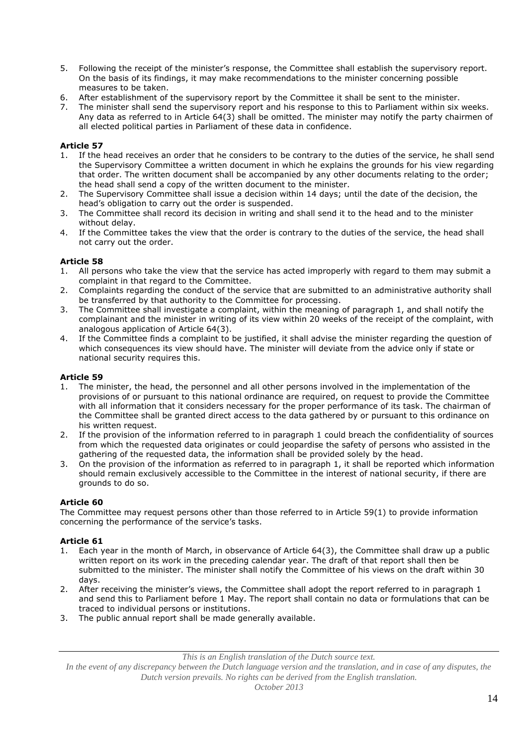- 5. Following the receipt of the minister's response, the Committee shall establish the supervisory report. On the basis of its findings, it may make recommendations to the minister concerning possible measures to be taken.
- 6. After establishment of the supervisory report by the Committee it shall be sent to the minister.
- 7. The minister shall send the supervisory report and his response to this to Parliament within six weeks. Any data as referred to in Article 64(3) shall be omitted. The minister may notify the party chairmen of all elected political parties in Parliament of these data in confidence.

- 1. If the head receives an order that he considers to be contrary to the duties of the service, he shall send the Supervisory Committee a written document in which he explains the grounds for his view regarding that order. The written document shall be accompanied by any other documents relating to the order; the head shall send a copy of the written document to the minister.
- 2. The Supervisory Committee shall issue a decision within 14 days; until the date of the decision, the head's obligation to carry out the order is suspended.
- 3. The Committee shall record its decision in writing and shall send it to the head and to the minister without delay.
- 4. If the Committee takes the view that the order is contrary to the duties of the service, the head shall not carry out the order.

## **Article 58**

- 1. All persons who take the view that the service has acted improperly with regard to them may submit a complaint in that regard to the Committee.
- 2. Complaints regarding the conduct of the service that are submitted to an administrative authority shall be transferred by that authority to the Committee for processing.
- 3. The Committee shall investigate a complaint, within the meaning of paragraph 1, and shall notify the complainant and the minister in writing of its view within 20 weeks of the receipt of the complaint, with analogous application of Article 64(3).
- 4. If the Committee finds a complaint to be justified, it shall advise the minister regarding the question of which consequences its view should have. The minister will deviate from the advice only if state or national security requires this.

## **Article 59**

- The minister, the head, the personnel and all other persons involved in the implementation of the provisions of or pursuant to this national ordinance are required, on request to provide the Committee with all information that it considers necessary for the proper performance of its task. The chairman of the Committee shall be granted direct access to the data gathered by or pursuant to this ordinance on his written request.
- 2. If the provision of the information referred to in paragraph 1 could breach the confidentiality of sources from which the requested data originates or could jeopardise the safety of persons who assisted in the gathering of the requested data, the information shall be provided solely by the head.
- 3. On the provision of the information as referred to in paragraph 1, it shall be reported which information should remain exclusively accessible to the Committee in the interest of national security, if there are grounds to do so.

## **Article 60**

The Committee may request persons other than those referred to in Article 59(1) to provide information concerning the performance of the service's tasks.

## **Article 61**

- 1. Each year in the month of March, in observance of Article 64(3), the Committee shall draw up a public written report on its work in the preceding calendar year. The draft of that report shall then be submitted to the minister. The minister shall notify the Committee of his views on the draft within 30 days.
- 2. After receiving the minister's views, the Committee shall adopt the report referred to in paragraph 1 and send this to Parliament before 1 May. The report shall contain no data or formulations that can be traced to individual persons or institutions.
- 3. The public annual report shall be made generally available.

*This is an English translation of the Dutch source text.*

*In the event of any discrepancy between the Dutch language version and the translation, and in case of any disputes, the Dutch version prevails. No rights can be derived from the English translation.*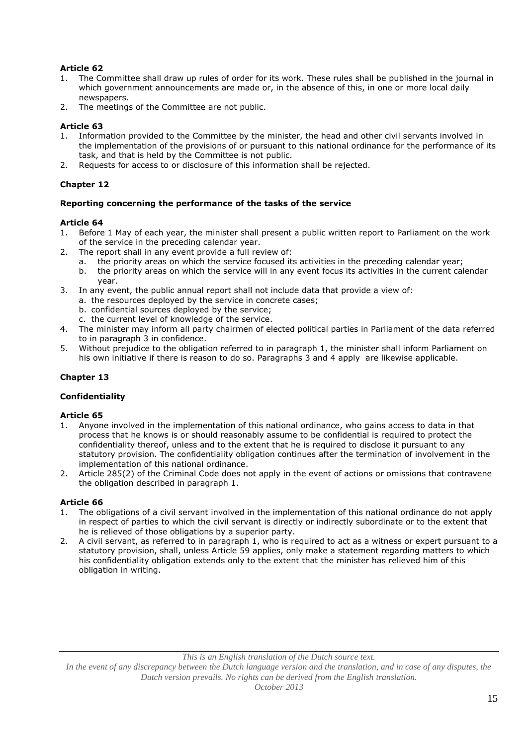- 1. The Committee shall draw up rules of order for its work. These rules shall be published in the journal in which government announcements are made or, in the absence of this, in one or more local daily newspapers.
- 2. The meetings of the Committee are not public.

# **Article 63**

- 1. Information provided to the Committee by the minister, the head and other civil servants involved in the implementation of the provisions of or pursuant to this national ordinance for the performance of its task, and that is held by the Committee is not public.
- 2. Requests for access to or disclosure of this information shall be rejected.

# **Chapter 12**

## **Reporting concerning the performance of the tasks of the service**

## **Article 64**

- 1. Before 1 May of each year, the minister shall present a public written report to Parliament on the work of the service in the preceding calendar year.
- 2. The report shall in any event provide a full review of:
	- a. the priority areas on which the service focused its activities in the preceding calendar year;
	- b. the priority areas on which the service will in any event focus its activities in the current calendar year.
- 3. In any event, the public annual report shall not include data that provide a view of:
	- a. the resources deployed by the service in concrete cases;
	- b. confidential sources deployed by the service;
	- c. the current level of knowledge of the service.
- 4. The minister may inform all party chairmen of elected political parties in Parliament of the data referred to in paragraph 3 in confidence.
- 5. Without prejudice to the obligation referred to in paragraph 1, the minister shall inform Parliament on his own initiative if there is reason to do so. Paragraphs 3 and 4 apply are likewise applicable.

## **Chapter 13**

## **Confidentiality**

## **Article 65**

- 1. Anyone involved in the implementation of this national ordinance, who gains access to data in that process that he knows is or should reasonably assume to be confidential is required to protect the confidentiality thereof, unless and to the extent that he is required to disclose it pursuant to any statutory provision. The confidentiality obligation continues after the termination of involvement in the implementation of this national ordinance.
- 2. Article 285(2) of the Criminal Code does not apply in the event of actions or omissions that contravene the obligation described in paragraph 1.

## **Article 66**

- 1. The obligations of a civil servant involved in the implementation of this national ordinance do not apply in respect of parties to which the civil servant is directly or indirectly subordinate or to the extent that he is relieved of those obligations by a superior party.
- 2. A civil servant, as referred to in paragraph 1, who is required to act as a witness or expert pursuant to a statutory provision, shall, unless Article 59 applies, only make a statement regarding matters to which his confidentiality obligation extends only to the extent that the minister has relieved him of this obligation in writing.

*In the event of any discrepancy between the Dutch language version and the translation, and in case of any disputes, the Dutch version prevails. No rights can be derived from the English translation.*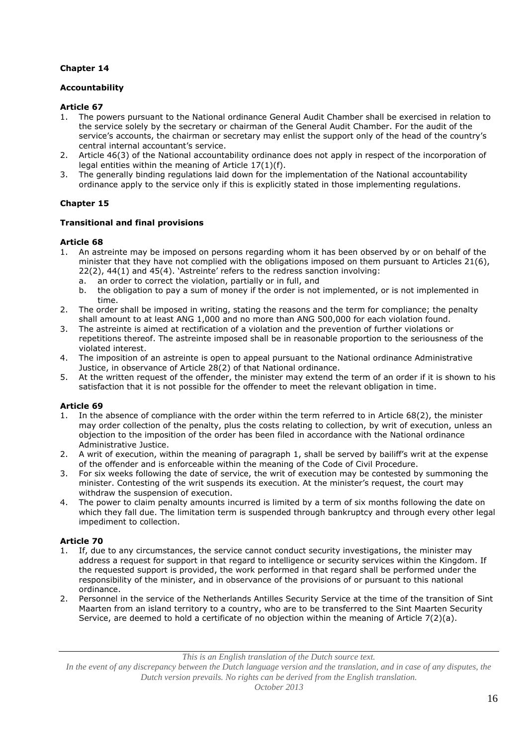# **Chapter 14**

# **Accountability**

## **Article 67**

- 1. The powers pursuant to the National ordinance General Audit Chamber shall be exercised in relation to the service solely by the secretary or chairman of the General Audit Chamber. For the audit of the service's accounts, the chairman or secretary may enlist the support only of the head of the country's central internal accountant's service.
- 2. Article 46(3) of the National accountability ordinance does not apply in respect of the incorporation of legal entities within the meaning of Article 17(1)(f).
- 3. The generally binding regulations laid down for the implementation of the National accountability ordinance apply to the service only if this is explicitly stated in those implementing regulations.

# **Chapter 15**

## **Transitional and final provisions**

## **Article 68**

- 1. An astreinte may be imposed on persons regarding whom it has been observed by or on behalf of the minister that they have not complied with the obligations imposed on them pursuant to Articles 21(6), 22(2), 44(1) and 45(4). 'Astreinte' refers to the redress sanction involving:
	- a. an order to correct the violation, partially or in full, and
	- b. the obligation to pay a sum of money if the order is not implemented, or is not implemented in time.
- 2. The order shall be imposed in writing, stating the reasons and the term for compliance; the penalty shall amount to at least ANG 1,000 and no more than ANG 500,000 for each violation found.
- 3. The astreinte is aimed at rectification of a violation and the prevention of further violations or repetitions thereof. The astreinte imposed shall be in reasonable proportion to the seriousness of the violated interest.
- 4. The imposition of an astreinte is open to appeal pursuant to the National ordinance Administrative Justice, in observance of Article 28(2) of that National ordinance.
- 5. At the written request of the offender, the minister may extend the term of an order if it is shown to his satisfaction that it is not possible for the offender to meet the relevant obligation in time.

## **Article 69**

- 1. In the absence of compliance with the order within the term referred to in Article 68(2), the minister may order collection of the penalty, plus the costs relating to collection, by writ of execution, unless an objection to the imposition of the order has been filed in accordance with the National ordinance Administrative Justice.
- 2. A writ of execution, within the meaning of paragraph 1, shall be served by bailiff's writ at the expense of the offender and is enforceable within the meaning of the Code of Civil Procedure.
- 3. For six weeks following the date of service, the writ of execution may be contested by summoning the minister. Contesting of the writ suspends its execution. At the minister's request, the court may withdraw the suspension of execution.
- 4. The power to claim penalty amounts incurred is limited by a term of six months following the date on which they fall due. The limitation term is suspended through bankruptcy and through every other legal impediment to collection.

## **Article 70**

- 1. If, due to any circumstances, the service cannot conduct security investigations, the minister may address a request for support in that regard to intelligence or security services within the Kingdom. If the requested support is provided, the work performed in that regard shall be performed under the responsibility of the minister, and in observance of the provisions of or pursuant to this national ordinance.
- 2. Personnel in the service of the Netherlands Antilles Security Service at the time of the transition of Sint Maarten from an island territory to a country, who are to be transferred to the Sint Maarten Security Service, are deemed to hold a certificate of no objection within the meaning of Article 7(2)(a).

*In the event of any discrepancy between the Dutch language version and the translation, and in case of any disputes, the Dutch version prevails. No rights can be derived from the English translation.*